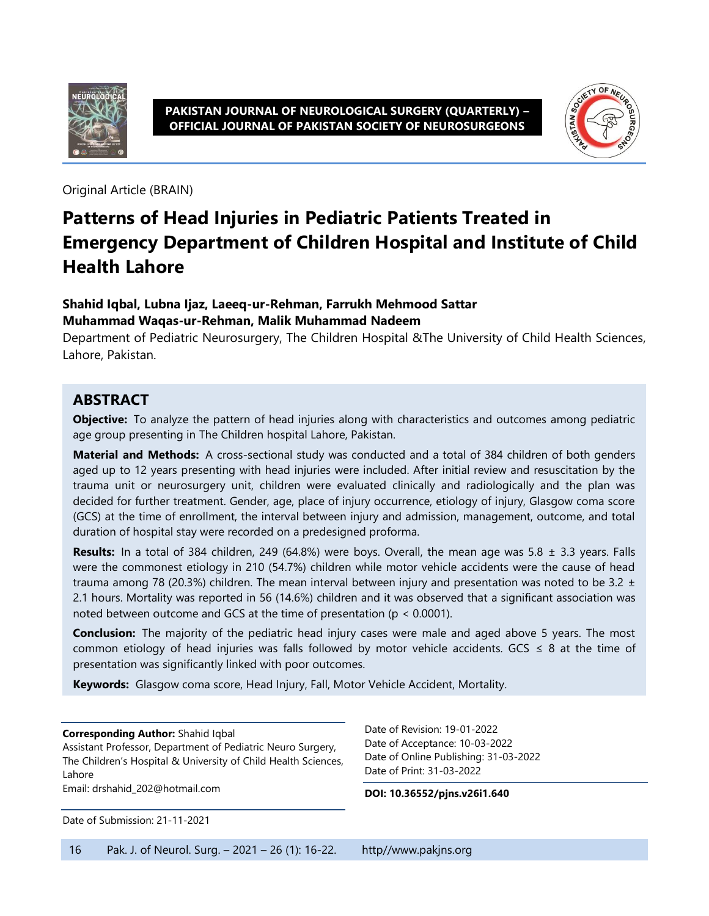



Original Article (BRAIN)

# **Patterns of Head Injuries in Pediatric Patients Treated in Emergency Department of Children Hospital and Institute of Child Health Lahore**

#### **Shahid Iqbal, Lubna Ijaz, Laeeq-ur-Rehman, Farrukh Mehmood Sattar Muhammad Waqas-ur-Rehman, Malik Muhammad Nadeem**

Department of Pediatric Neurosurgery, The Children Hospital &The University of Child Health Sciences, Lahore, Pakistan.

### **ABSTRACT**

**Objective:** To analyze the pattern of head injuries along with characteristics and outcomes among pediatric age group presenting in The Children hospital Lahore, Pakistan.

**Material and Methods:** A cross-sectional study was conducted and a total of 384 children of both genders aged up to 12 years presenting with head injuries were included. After initial review and resuscitation by the trauma unit or neurosurgery unit, children were evaluated clinically and radiologically and the plan was decided for further treatment. Gender, age, place of injury occurrence, etiology of injury, Glasgow coma score (GCS) at the time of enrollment, the interval between injury and admission, management, outcome, and total duration of hospital stay were recorded on a predesigned proforma.

**Results:** In a total of 384 children, 249 (64.8%) were boys. Overall, the mean age was 5.8 ± 3.3 years. Falls were the commonest etiology in 210 (54.7%) children while motor vehicle accidents were the cause of head trauma among 78 (20.3%) children. The mean interval between injury and presentation was noted to be 3.2  $\pm$ 2.1 hours. Mortality was reported in 56 (14.6%) children and it was observed that a significant association was noted between outcome and GCS at the time of presentation (p < 0.0001).

**Conclusion:** The majority of the pediatric head injury cases were male and aged above 5 years. The most common etiology of head injuries was falls followed by motor vehicle accidents. GCS ≤ 8 at the time of presentation was significantly linked with poor outcomes.

**Keywords:** Glasgow coma score, Head Injury, Fall, Motor Vehicle Accident, Mortality.

**Corresponding Author:** Shahid Iqbal

Assistant Professor, Department of Pediatric Neuro Surgery, The Children's Hospital & University of Child Health Sciences, Lahore Email: drshahid\_202@hotmail.com

Date of Submission: 21-11-2021

Date of Revision: 19-01-2022 Date of Acceptance: 10-03-2022 Date of Online Publishing: 31-03-2022 Date of Print: 31-03-2022

**DOI: 10.36552/pjns.v26i1.640**

16 Pak. J. of Neurol. Surg. – 2021 – 26 (1): 16-22. http//www.pakjns.org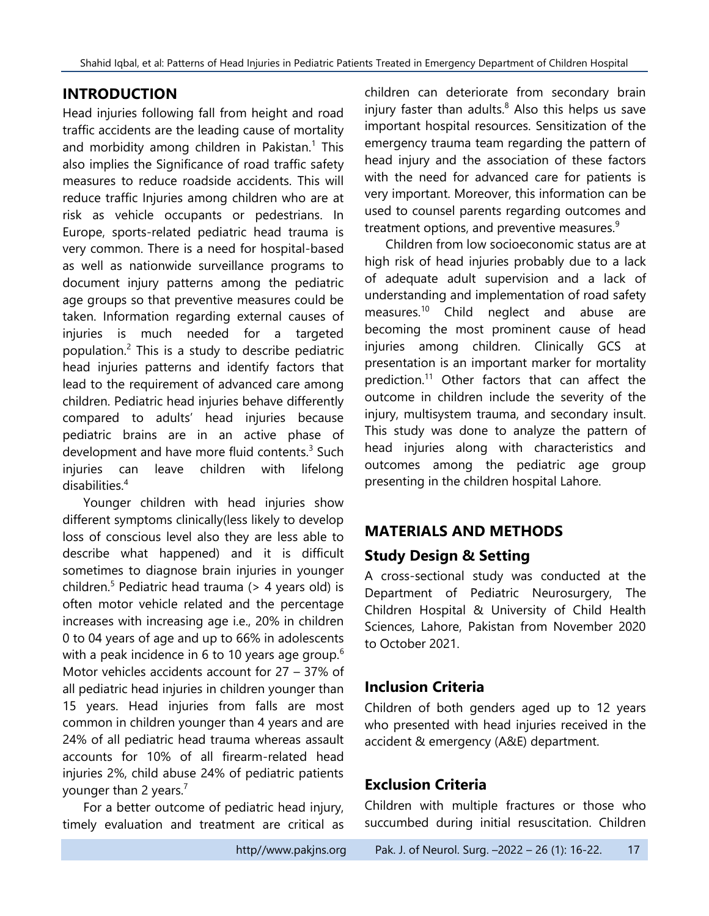# **INTRODUCTION**

Head injuries following fall from height and road traffic accidents are the leading cause of mortality and morbidity among children in Pakistan.<sup>1</sup> This also implies the Significance of road traffic safety measures to reduce roadside accidents. This will reduce traffic Injuries among children who are at risk as vehicle occupants or pedestrians. In Europe, sports-related pediatric head trauma is very common. There is a need for hospital-based as well as nationwide surveillance programs to document injury patterns among the pediatric age groups so that preventive measures could be taken. Information regarding external causes of injuries is much needed for a targeted population.<sup>2</sup> This is a study to describe pediatric head injuries patterns and identify factors that lead to the requirement of advanced care among children. Pediatric head injuries behave differently compared to adults' head injuries because pediatric brains are in an active phase of development and have more fluid contents.<sup>3</sup> Such injuries can leave children with lifelong disabilities.<sup>4</sup>

Younger children with head injuries show different symptoms clinically(less likely to develop loss of conscious level also they are less able to describe what happened) and it is difficult sometimes to diagnose brain injuries in younger children.<sup>5</sup> Pediatric head trauma ( $>$  4 years old) is often motor vehicle related and the percentage increases with increasing age i.e., 20% in children 0 to 04 years of age and up to 66% in adolescents with a peak incidence in 6 to 10 years age group.<sup>6</sup> Motor vehicles accidents account for 27 – 37% of all pediatric head injuries in children younger than 15 years. Head injuries from falls are most common in children younger than 4 years and are 24% of all pediatric head trauma whereas assault accounts for 10% of all firearm-related head injuries 2%, child abuse 24% of pediatric patients younger than 2 years. $7$ 

For a better outcome of pediatric head injury, timely evaluation and treatment are critical as

children can deteriorate from secondary brain injury faster than adults. $8$  Also this helps us save important hospital resources. Sensitization of the emergency trauma team regarding the pattern of head injury and the association of these factors with the need for advanced care for patients is very important. Moreover, this information can be used to counsel parents regarding outcomes and treatment options, and preventive measures.<sup>9</sup>

Children from low socioeconomic status are at high risk of head injuries probably due to a lack of adequate adult supervision and a lack of understanding and implementation of road safety measures.<sup>10</sup> Child neglect and abuse are becoming the most prominent cause of head injuries among children. Clinically GCS at presentation is an important marker for mortality prediction.<sup>11</sup> Other factors that can affect the outcome in children include the severity of the injury, multisystem trauma, and secondary insult. This study was done to analyze the pattern of head injuries along with characteristics and outcomes among the pediatric age group presenting in the children hospital Lahore.

# **MATERIALS AND METHODS**

# **Study Design & Setting**

A cross-sectional study was conducted at the Department of Pediatric Neurosurgery, The Children Hospital & University of Child Health Sciences, Lahore, Pakistan from November 2020 to October 2021.

# **Inclusion Criteria**

Children of both genders aged up to 12 years who presented with head injuries received in the accident & emergency (A&E) department.

# **Exclusion Criteria**

Children with multiple fractures or those who succumbed during initial resuscitation. Children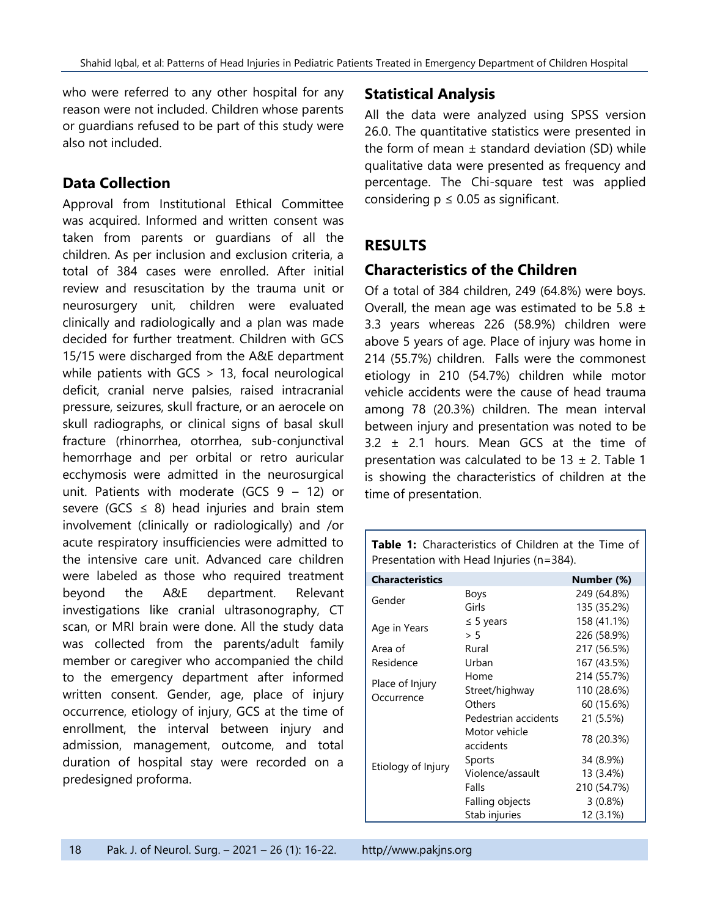who were referred to any other hospital for any reason were not included. Children whose parents or guardians refused to be part of this study were also not included.

## **Data Collection**

Approval from Institutional Ethical Committee was acquired. Informed and written consent was taken from parents or guardians of all the children. As per inclusion and exclusion criteria, a total of 384 cases were enrolled. After initial review and resuscitation by the trauma unit or neurosurgery unit, children were evaluated clinically and radiologically and a plan was made decided for further treatment. Children with GCS 15/15 were discharged from the A&E department while patients with GCS > 13, focal neurological deficit, cranial nerve palsies, raised intracranial pressure, seizures, skull fracture, or an aerocele on skull radiographs, or clinical signs of basal skull fracture (rhinorrhea, otorrhea, sub-conjunctival hemorrhage and per orbital or retro auricular ecchymosis were admitted in the neurosurgical unit. Patients with moderate (GCS 9 – 12) or severe (GCS  $\leq$  8) head injuries and brain stem involvement (clinically or radiologically) and /or acute respiratory insufficiencies were admitted to the intensive care unit. Advanced care children were labeled as those who required treatment beyond the A&E department. Relevant investigations like cranial ultrasonography, CT scan, or MRI brain were done. All the study data was collected from the parents/adult family member or caregiver who accompanied the child to the emergency department after informed written consent. Gender, age, place of injury occurrence, etiology of injury, GCS at the time of enrollment, the interval between injury and admission, management, outcome, and total duration of hospital stay were recorded on a predesigned proforma.

## **Statistical Analysis**

All the data were analyzed using SPSS version 26.0. The quantitative statistics were presented in the form of mean  $\pm$  standard deviation (SD) while qualitative data were presented as frequency and percentage. The Chi-square test was applied considering  $p \leq 0.05$  as significant.

## **RESULTS**

## **Characteristics of the Children**

Of a total of 384 children, 249 (64.8%) were boys. Overall, the mean age was estimated to be 5.8  $\pm$ 3.3 years whereas 226 (58.9%) children were above 5 years of age. Place of injury was home in 214 (55.7%) children. Falls were the commonest etiology in 210 (54.7%) children while motor vehicle accidents were the cause of head trauma among 78 (20.3%) children. The mean interval between injury and presentation was noted to be 3.2 ± 2.1 hours. Mean GCS at the time of presentation was calculated to be  $13 \pm 2$ . Table 1 is showing the characteristics of children at the time of presentation.

| <b>Characteristics</b>        |                            | Number (%)  |
|-------------------------------|----------------------------|-------------|
| Gender                        | Boys                       | 249 (64.8%) |
|                               | Girls                      | 135 (35.2%) |
| Age in Years                  | $\leq$ 5 years             | 158 (41.1%) |
|                               | > 5                        | 226 (58.9%) |
| Area of                       | Rural                      | 217 (56.5%) |
| Residence                     | Urban                      | 167 (43.5%) |
|                               | Home                       | 214 (55.7%) |
| Place of Injury<br>Occurrence | Street/highway             | 110 (28.6%) |
|                               | Others                     | 60 (15.6%)  |
|                               | Pedestrian accidents       | 21 (5.5%)   |
| Etiology of Injury            | Motor vehicle<br>accidents | 78 (20.3%)  |
|                               | Sports                     | 34 (8.9%)   |
|                               | Violence/assault           | 13 (3.4%)   |
|                               | Falls                      | 210 (54.7%) |
|                               | Falling objects            | $3(0.8\%)$  |
|                               | Stab injuries              | 12 (3.1%)   |

**Table 1:** Characteristics of Children at the Time of Presentation with Head Injuries (n=384).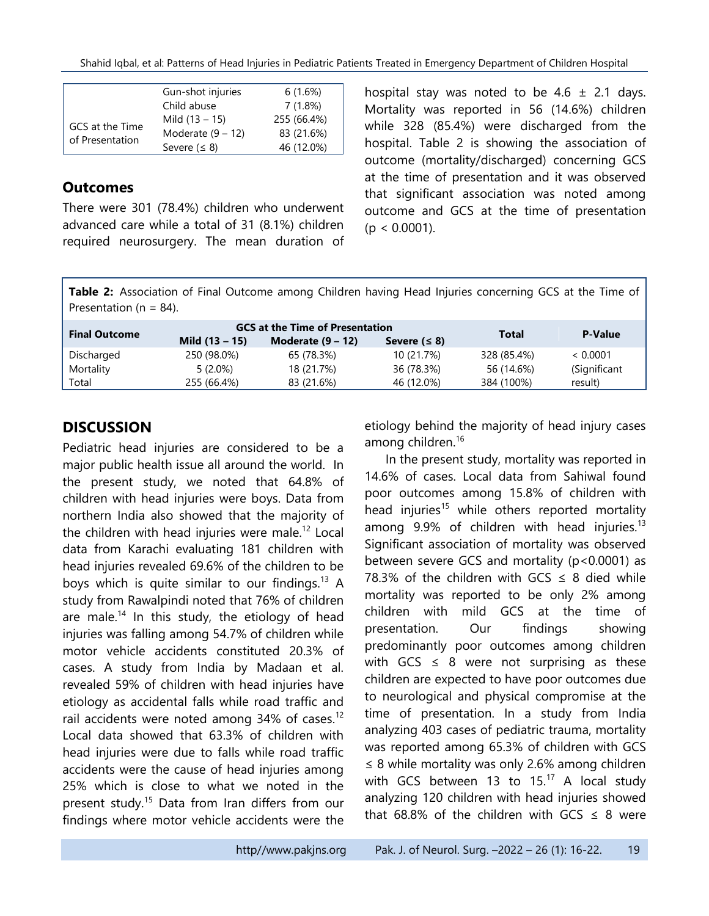Shahid Iqbal, et al: Patterns of Head Injuries in Pediatric Patients Treated in Emergency Department of Children Hospital

|                                    | Gun-shot injuries   | 6(1.6%)     |
|------------------------------------|---------------------|-------------|
| GCS at the Time<br>of Presentation | Child abuse         | 7(1.8%)     |
|                                    | Mild $(13 - 15)$    | 255 (66.4%) |
|                                    | Moderate $(9 - 12)$ | 83 (21.6%)  |
|                                    | Severe $( \leq 8)$  | 46 (12.0%)  |

#### **Outcomes**

There were 301 (78.4%) children who underwent advanced care while a total of 31 (8.1%) children required neurosurgery. The mean duration of hospital stay was noted to be 4.6  $\pm$  2.1 days. Mortality was reported in 56 (14.6%) children while 328 (85.4%) were discharged from the hospital. Table 2 is showing the association of outcome (mortality/discharged) concerning GCS at the time of presentation and it was observed that significant association was noted among outcome and GCS at the time of presentation  $(p < 0.0001)$ .

Table 2: Association of Final Outcome among Children having Head Injuries concerning GCS at the Time of Presentation ( $n = 84$ ).

| <b>GCS at the Time of Presentation</b> |                     |                    |             | <b>P-Value</b> |
|----------------------------------------|---------------------|--------------------|-------------|----------------|
| Mild $(13 - 15)$                       | Moderate $(9 - 12)$ | Severe $( \leq 8)$ |             |                |
| 250 (98.0%)                            | 65 (78.3%)          | 10 (21.7%)         | 328 (85.4%) | < 0.0001       |
| $5(2.0\%)$                             | 18 (21.7%)          | 36 (78.3%)         | 56 (14.6%)  | (Significant   |
| 255 (66.4%)                            | 83 (21.6%)          | 46 (12.0%)         | 384 (100%)  | result)        |
|                                        |                     |                    |             | <b>Total</b>   |

# **DISCUSSION**

Pediatric head injuries are considered to be a major public health issue all around the world. In the present study, we noted that 64.8% of children with head injuries were boys. Data from northern India also showed that the majority of the children with head injuries were male.<sup>12</sup> Local data from Karachi evaluating 181 children with head injuries revealed 69.6% of the children to be boys which is quite similar to our findings.<sup>13</sup> A study from Rawalpindi noted that 76% of children are male.<sup>14</sup> In this study, the etiology of head injuries was falling among 54.7% of children while motor vehicle accidents constituted 20.3% of cases. A study from India by Madaan et al. revealed 59% of children with head injuries have etiology as accidental falls while road traffic and rail accidents were noted among  $34\%$  of cases.<sup>12</sup> Local data showed that 63.3% of children with head injuries were due to falls while road traffic accidents were the cause of head injuries among 25% which is close to what we noted in the present study.<sup>15</sup> Data from Iran differs from our findings where motor vehicle accidents were the etiology behind the majority of head injury cases among children.<sup>16</sup>

In the present study, mortality was reported in 14.6% of cases. Local data from Sahiwal found poor outcomes among 15.8% of children with head injuries<sup>15</sup> while others reported mortality among  $9.9\%$  of children with head injuries.<sup>13</sup> Significant association of mortality was observed between severe GCS and mortality  $(p < 0.0001)$  as 78.3% of the children with GCS  $\leq$  8 died while mortality was reported to be only 2% among children with mild GCS at the time of presentation. Our findings showing predominantly poor outcomes among children with GCS  $\leq$  8 were not surprising as these children are expected to have poor outcomes due to neurological and physical compromise at the time of presentation. In a study from India analyzing 403 cases of pediatric trauma, mortality was reported among 65.3% of children with GCS ≤ 8 while mortality was only 2.6% among children with GCS between 13 to  $15.^{17}$  A local study analyzing 120 children with head injuries showed that 68.8% of the children with GCS  $\leq$  8 were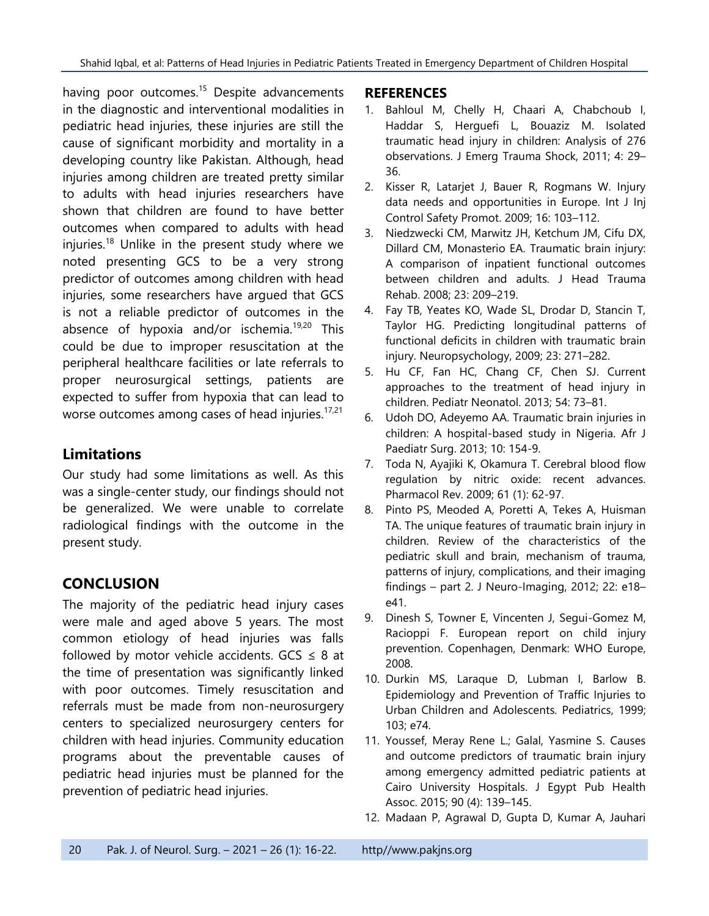having poor outcomes.<sup>15</sup> Despite advancements in the diagnostic and interventional modalities in pediatric head injuries, these injuries are still the cause of significant morbidity and mortality in a developing country like Pakistan. Although, head injuries among children are treated pretty similar to adults with head injuries researchers have shown that children are found to have better outcomes when compared to adults with head injuries.<sup>18</sup> Unlike in the present study where we noted presenting GCS to be a very strong predictor of outcomes among children with head injuries, some researchers have argued that GCS is not a reliable predictor of outcomes in the absence of hypoxia and/or ischemia.<sup>19,20</sup> This could be due to improper resuscitation at the peripheral healthcare facilities or late referrals to proper neurosurgical settings, patients are expected to suffer from hypoxia that can lead to worse outcomes among cases of head injuries. $17,21$ 

# **Limitations**

Our study had some limitations as well. As this was a single-center study, our findings should not be generalized. We were unable to correlate radiological findings with the outcome in the present study.

# **CONCLUSION**

The majority of the pediatric head injury cases were male and aged above 5 years. The most common etiology of head injuries was falls followed by motor vehicle accidents.  $GCS \leq 8$  at the time of presentation was significantly linked with poor outcomes. Timely resuscitation and referrals must be made from non-neurosurgery centers to specialized neurosurgery centers for children with head injuries. Community education programs about the preventable causes of pediatric head injuries must be planned for the prevention of pediatric head injuries.

#### **REFERENCES**

- 1. Bahloul M, Chelly H, Chaari A, Chabchoub I, Haddar S, Herguefi L, Bouaziz M. Isolated traumatic head injury in children: Analysis of 276 observations. J Emerg Trauma Shock, 2011; 4: 29– 36.
- 2. Kisser R, Latarjet J, Bauer R, Rogmans W. Injury data needs and opportunities in Europe. Int J Inj Control Safety Promot. 2009; 16: 103–112.
- 3. Niedzwecki CM, Marwitz JH, Ketchum JM, Cifu DX, Dillard CM, Monasterio EA. Traumatic brain injury: A comparison of inpatient functional outcomes between children and adults. J Head Trauma Rehab. 2008; 23: 209–219.
- 4. Fay TB, Yeates KO, Wade SL, Drodar D, Stancin T, Taylor HG. Predicting longitudinal patterns of functional deficits in children with traumatic brain injury. Neuropsychology, 2009; 23: 271–282.
- 5. Hu CF, Fan HC, Chang CF, Chen SJ. Current approaches to the treatment of head injury in children. Pediatr Neonatol. 2013; 54: 73–81.
- 6. Udoh DO, Adeyemo AA. Traumatic brain injuries in children: A hospital-based study in Nigeria. Afr J Paediatr Surg. 2013; 10: 154-9.
- 7. Toda N, Ayajiki K, Okamura T. Cerebral blood flow regulation by nitric oxide: recent advances. Pharmacol Rev. 2009; 61 (1): 62-97.
- 8. Pinto PS, Meoded A, Poretti A, Tekes A, Huisman TA. The unique features of traumatic brain injury in children. Review of the characteristics of the pediatric skull and brain, mechanism of trauma, patterns of injury, complications, and their imaging findings – part 2. J Neuro-Imaging, 2012; 22: e18– e41.
- 9. Dinesh S, Towner E, Vincenten J, Segui-Gomez M, Racioppi F. European report on child injury prevention. Copenhagen, Denmark: WHO Europe, 2008.
- 10. Durkin MS, Laraque D, Lubman I, Barlow B. Epidemiology and Prevention of Traffic Injuries to Urban Children and Adolescents. Pediatrics, 1999; 103; e74.
- 11. Youssef, Meray Rene L.; Galal, Yasmine S. Causes and outcome predictors of traumatic brain injury among emergency admitted pediatric patients at Cairo University Hospitals. J Egypt Pub Health Assoc. 2015; 90 (4): 139–145.
- 12. Madaan P, Agrawal D, Gupta D, Kumar A, Jauhari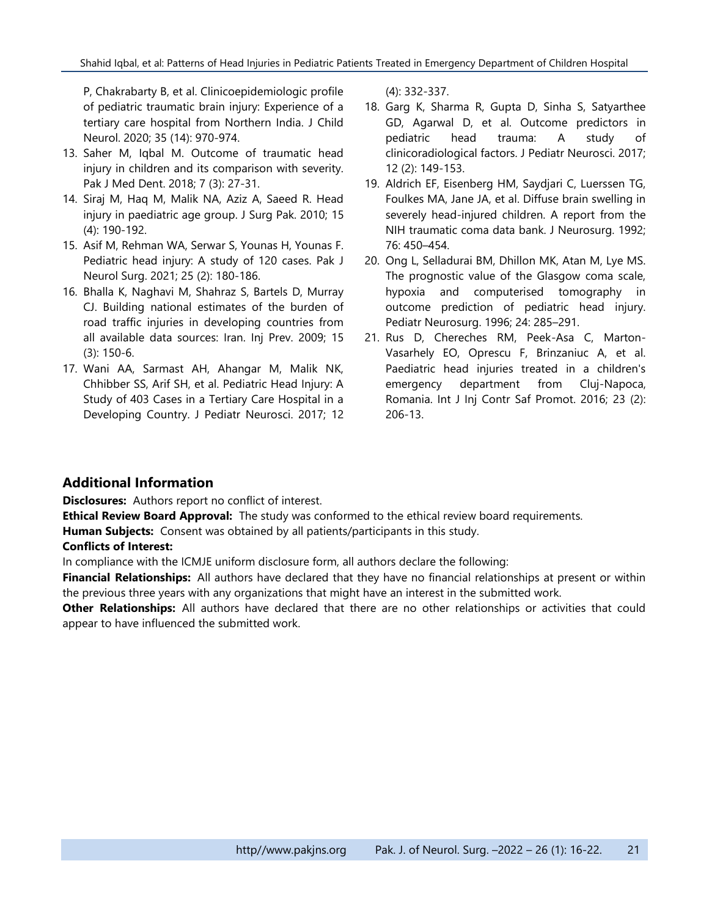P, Chakrabarty B, et al. Clinicoepidemiologic profile of pediatric traumatic brain injury: Experience of a tertiary care hospital from Northern India. J Child Neurol. 2020; 35 (14): 970-974.

- 13. Saher M, Iqbal M. Outcome of traumatic head injury in children and its comparison with severity. Pak J Med Dent. 2018; 7 (3): 27-31.
- 14. Siraj M, Haq M, Malik NA, Aziz A, Saeed R. Head injury in paediatric age group. J Surg Pak. 2010; 15 (4): 190-192.
- 15. Asif M, Rehman WA, Serwar S, Younas H, Younas F. Pediatric head injury: A study of 120 cases. Pak J Neurol Surg. 2021; 25 (2): 180-186.
- 16. Bhalla K, Naghavi M, Shahraz S, Bartels D, Murray CJ. Building national estimates of the burden of road traffic injuries in developing countries from all available data sources: Iran. Inj Prev. 2009; 15 (3): 150-6.
- 17. Wani AA, Sarmast AH, Ahangar M, Malik NK, Chhibber SS, Arif SH, et al. Pediatric Head Injury: A Study of 403 Cases in a Tertiary Care Hospital in a Developing Country. J Pediatr Neurosci. 2017; 12

(4): 332-337.

- 18. Garg K, Sharma R, Gupta D, Sinha S, Satyarthee GD, Agarwal D, et al. Outcome predictors in pediatric head trauma: A study of clinicoradiological factors. J Pediatr Neurosci. 2017; 12 (2): 149-153.
- 19. Aldrich EF, Eisenberg HM, Saydjari C, Luerssen TG, Foulkes MA, Jane JA, et al. Diffuse brain swelling in severely head-injured children. A report from the NIH traumatic coma data bank. J Neurosurg. 1992; 76: 450–454.
- 20. Ong L, Selladurai BM, Dhillon MK, Atan M, Lye MS. The prognostic value of the Glasgow coma scale, hypoxia and computerised tomography in outcome prediction of pediatric head injury. Pediatr Neurosurg. 1996; 24: 285–291.
- 21. Rus D, Chereches RM, Peek-Asa C, Marton-Vasarhely EO, Oprescu F, Brinzaniuc A, et al. Paediatric head injuries treated in a children's emergency department from Cluj-Napoca, Romania. Int J Inj Contr Saf Promot. 2016; 23 (2): 206-13.

#### **Additional Information**

**Disclosures:** Authors report no conflict of interest.

**Ethical Review Board Approval:** The study was conformed to the ethical review board requirements.

**Human Subjects:** Consent was obtained by all patients/participants in this study.

#### **Conflicts of Interest:**

In compliance with the ICMJE uniform disclosure form, all authors declare the following:

**Financial Relationships:** All authors have declared that they have no financial relationships at present or within the previous three years with any organizations that might have an interest in the submitted work.

**Other Relationships:** All authors have declared that there are no other relationships or activities that could appear to have influenced the submitted work.